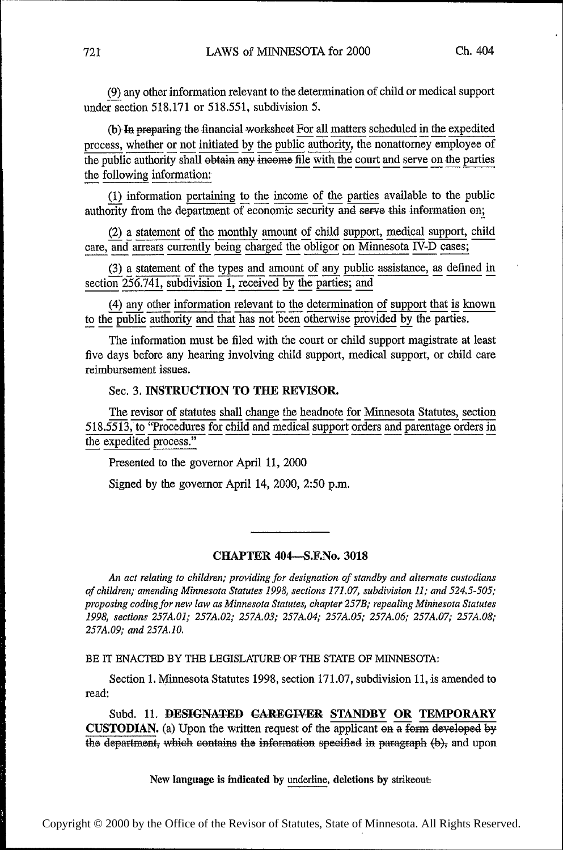Q any other information relevant to the determination of child or medical support under section 518.171 or 518.551, subdivision 5.

(b) In preparing the financial worksheet For all matters scheduled in the expedited process, whether or not initiated by the public authority, the nonattorney employee of the public authority shall obtain any income file with the court and serve on the parties process, whether or not initiated by the public authority, the honattorney employ<br>the public authority shall obtain any income file with the court and serve on the p<br>the following information:

(1) information pertaining to the income of the parties available to the public authority from the department of economic security and serve this information on;

 $(2)$  a statement of the monthly amount of child support, medical support, child care, and arrears currently being charged the obligor on Minnesota IV-D cases;

 $(3)$  a statement of the types and amount of any public assistance, as defined in section 256.741, subdivision 1, received by the parties; and

section 256.741, subdivision 1, received by the parties; and  $\frac{(4)}{256.741}$  any other information relevant to the determination of support that is known to the public authority and that has not been otherwise provided b

The information must be filed with the court or child support magistrate at least five days before any hearing involving child support, medical support, or child care reimbursement issues.

# Sec. 3. INSTRUCTION TO THE REVISOR.

The revisor of statutes shall change the headnote for Minnesota Statutes, section 518.5513, to "Procedures for child and medical support orders and parentage orders in the expedited process."

Presented to the governor April 11, 2000

Signed by the governor April 14, 2000, 2:50 p.m.

# CHAPTER 404-S.F.No. 3018

An act relating to children; providing for designation of standby and alternate custodians of children; amending Minnesota Statutes 1998, sections 171.07, subdivision 1]; and 524.5-505; proposing coding for new law as Minnesota Statutes, chapter 257B; repealing Minnesota Statutes 1998, sections 257A.01; 257A.02; 257A.03; 257A.04; 257A.05; 257A.06; 257A.07; 257A.08; 257A.09; and 257A.10.

BE IT ENACTED BY THE LEGISLATURE OF THE STATE OF MINNESOTA:

Section 1. Minnesota Statutes 1998, section 171.07, subdivision 11, is amended to read:

Subd. 11. DESIGNATED CAREGIVER STANDBY OR TEMPORARY CUSTODIAN. (a) Upon the written request of the applicant on a form developed by the department, which contains the information specified in paragraph  $(b)$ , and upon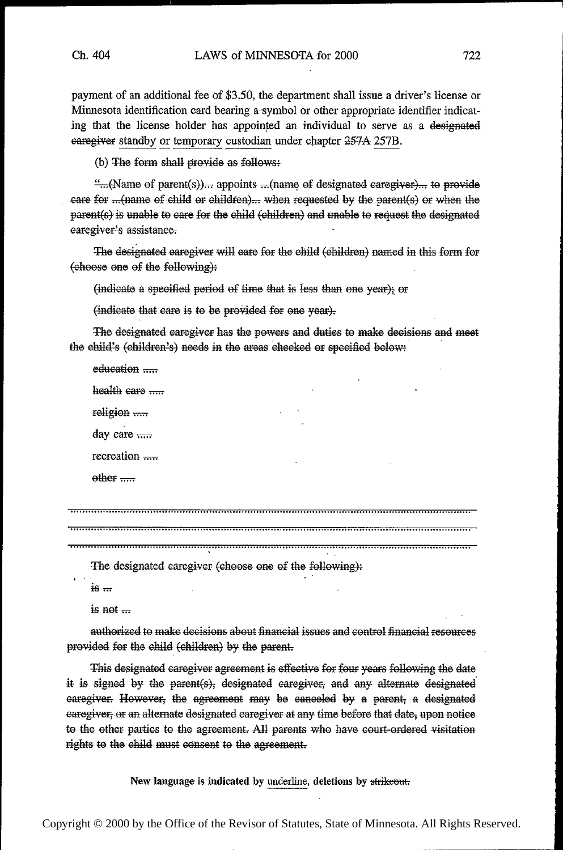payment of an additional fee of \$3.50, the department shall issue a driver's license or Minnesota identification card bearing a symbol or other appropriate identifier indicating that the license holder has appointed an individual to serve as a designated earegiver standby or temporary custodian under chapter 257A 257B.

(b) The form shall provide as follows:

"...(Name of parent(s))... appoints ...(name of designated caregiver)... to provide care for ... (name of child or children)... when requested by the parent(s) or when the parent(s) is unable to care for the child (children) and unable to request the designated earegiver's assistance.

The designated caregiver will care for the child (children) named in this form for (choose one of the following):

(indicate a specified period of time that is less than one year); or

(indicate that care is to be provided for one year).

The designated caregiver has the powers and duties to make decisions and meet the child's (children's) needs in the areas checked or specified below:

education ..... health care  $\ldots$ 

religion .....

day care .....

recreation .....

 $other$  .....

The designated caregiver (choose one of the following):

 $i\epsilon =$ 

is not  $\ldots$ 

authorized to make decisions about financial issues and control financial resources provided for the child (children) by the parent.

This designated caregiver agreement is effective for four years following the date it is signed by the parent(s), designated caregiver, and any alternate designated caregiver. However, the agreement may be canceled by a parent, a designated earegiver, or an alternate designated caregiver at any time before that date, upon notice to the other parties to the agreement. All parents who have court-ordered visitation rights to the child must consent to the agreement.

New language is indicated by underline, deletions by strikeout.

Copyright © 2000 by the Office of the Revisor of Statutes, State of Minnesota. All Rights Reserved.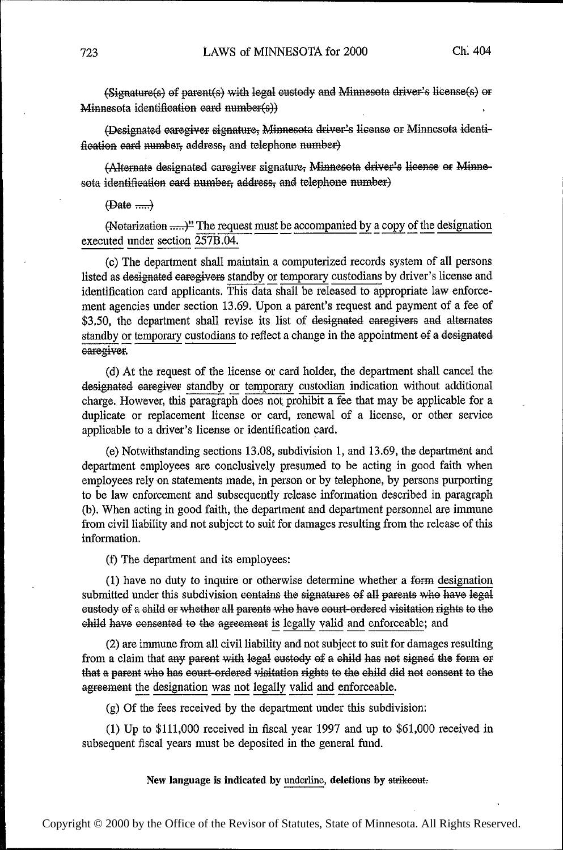(Signature(s) of parent(s) with legal custody and Minnesota driver's license(s) or Minnesota identification card number(s))

(Designated caregiver signature, Minnesota driver's license or Minnesota identification eard number, address, and telephone number)

(Alternate designated caregiver signature, Minnesota driver's license or Minnesota identification card number, address, and telephone number)

#### $(Date \dots)$

(Notarization .....)" The request must be accompanied by a copy of the designation executed under section 257B.04.

(c) The department shall maintain a computerized records system of all persons listed as designated earegivers standby or temporary custodians by driver's license and identification card applicants. This data shall be released to appropriate law enforcement agencies under section 13.69. Upon a parent's request and payment of a fee of \$3.50, the department shall revise its list of designated caregivers and alternates standby or temporary custodians to reflect a change in the appointment of a designated caregiver.

(d) At the request of the license or card holder, the department shall cancel the designated caregiver standby or temporary custodian indication without additional charge. However, this paragraph does not prohibit a fee that may be applicable for a duplicate or replacement license or card, renewal of a license, or other service applicable to a driver's license or identification card.

(e) Notwithstanding sections 13.08, subdivision 1, and 13.69, the department and department employees are conclusively presumed to be acting in good faith when employees rely on statements made, in person or by telephone, by persons purporting to be law enforcement and subsequently release information described in paragraph (b). When acting in good faith, the department and department personnel are immune from civil liability and not subject to suit for damages resulting from the release of this information.

(f) The department and its employees:

(1) have no duty to inquire or otherwise determine whether a form designation submitted under this subdivision contains the signatures of all parents who have legal eustody of a child or whether all parents who have court-ordered visitation rights to the child have consented to the agreement is legally valid and enforceable; and

(2) are immune from all civil liability and not subject to suit for damages resulting from a claim that any parent with legal custody of a child has not signed the form or that a parent who has court-ordered visitation rights to the child did not consent to the agreement the designation was not legally valid and enforceable.

(g) Of the fees received by the department under this subdivision:

(1) Up to  $$111,000$  received in fiscal year 1997 and up to  $$61,000$  received in subsequent fiscal years must be deposited in the general fund.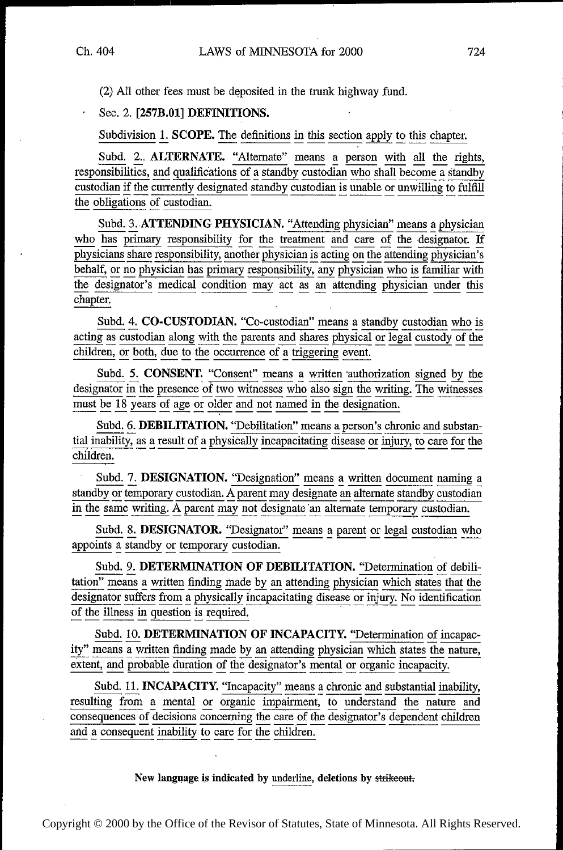(2) All other fees must be deposited in the trunk highway fund.

Sec. 2. [257B.01] DEFINITIONS.

Subdivision 1. SCOPE. The definitions in this section apply to this chapter.

Subd. 2.. ALTERNATE. "Alternate" means a person with all the rights, responsibilities, and qualifications of a standby custodian who shall become a standby custodian if the currently designated standby custodian is unable or unwilling to fulfill<br>the obligations of quatedian the obligations of custodian.

Subd. 3. ATTENDING PHYSICIAN. "Attending physician" means a physician who has primary responsibility for the treatment and care of the designator. If behalf, or no physician has primary responsibility, any physician who is familiar with the designator's medical condition may act as an attending physician under this the designator's medical condition may act as an attending physician under this chapter.

Subd. 4. CO-CUSTODIAN. "Co-custodian" means a standby custodian who is acting as custodian along with the parents and shares physical or legal custody of the children, or both, due to the occurrence of a triggering event.

Subd. 5. CONSENT. "Consent" means a written authorization signed by the designator in the presence of two witnesses who also sign the writing. The witnesses must be 18 years of age or older and not named in the designation.<br>Subd. 6. DEBILITATION. "Debilitation" means a person's chronic and substan-

Subd. 6. DEBILITATION. "Debilitation" means a person's chronic and substantial inability, as a result of a physically incapacitating disease or injury, to care for the children.<br>
Subd. 7. DESIGNATION. "Designation" means a

Subd. 7. DESIGNATION. "Designation" means a written document naming a standby or temporary custodian. A parent may designate an alternate standby custodian in the same writing. A parent may not designate 'an alternate temporary custodian.

Subd. 8. DESIGNATOR. "Designator" means a parent or legal custodian who appoints a standby or temporary custodian.

Subd. 9. DETERMINATION OF DEBILITATION. "Determination of debilitation" means a written finding made by an attending physician which states that the  $\frac{\text{designator}}{\text{of the illpos in question}}$  is required in constraintly incapacitating disease or injury. No identification of the illness in question is required.

Subd. 10. DETERMINATION OF INCAPACITY. "Determination of incapacity" means a written finding made by an attending physician which states the nature, extent, and probable duration of the designator's mental or organic incapacity.

Subd. 11. INCAPACITY. "Incapacity" means a chronic and substantial inability, resulting from a mental or organic impairment, to understand the nature and consequences of decisions concerning the care of the designator's dependent children and a consequent inability to care for the children.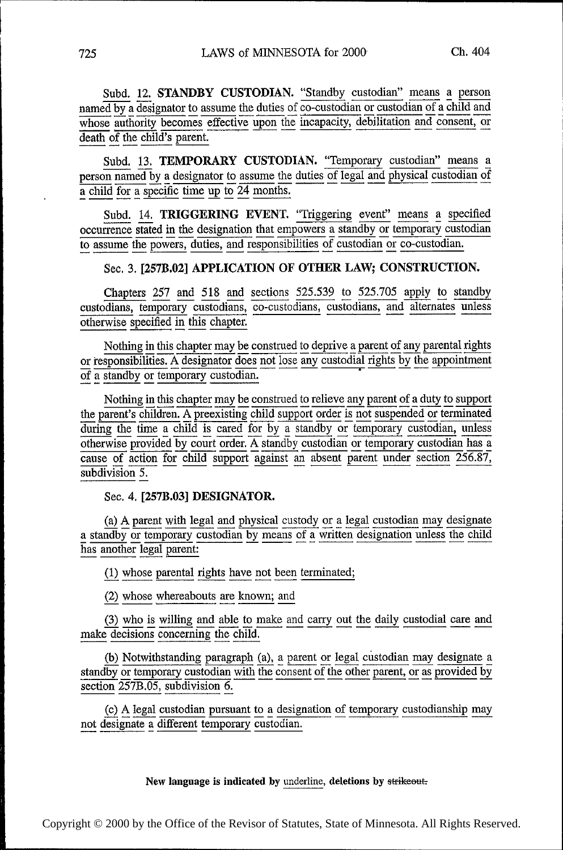Subd. 12. STANDBY CUSTODIAN. "Standby custodian" means a person named by a designator to assume the duties of co-custodian or custodian of a child and whose authority becomes effective upon the incapacity, debilitation and consent, or death of the child's parent.

Subd. 13. TEMPORARY CUSTODIAN. "Temporary custodian" means a person named by a designator to assume the duties of legal and physical custodian of a child for a specific time up to  $24$  months.

Subd. 14. TRIGGERING EVENT. "Triggering event" means a specified occurrence stated in the designation that empowers a standby or temporary custodian occurrence stated in the designation that empowers a standby or temporary custodian<br>to essume the payment duties and repropribilities of quetodian or co-quetodian to assume the powers, duties, and responsibilities of custodian of co-custodian.

# Sec. 3. [257B.02] APPLICATION OF OTHER LAW; CONSTRUCTION.

Chapters 257 and 518 and sections 525.539 to 525.705 apply to standby custodians, temporary custodians, co-custodians, custodians, and alternates unless otherwise specified in this chapter.

Nothing in this chapter may be construed to deprive a parent of any parental rights<br>or responsibilities. A designator does not lose any custodial rights by the appointment<br>of a standby or temporary custodian. of a standby or temporary custodian. '

Nothing in this chapter may be construed to relieve any parent of a duty to support<br>the parent's children. A preexisting child support order is not suspended or terminated the parent's children. A preexisting child support order is not suspended or terminated<br>Three the time a shild is correl for by a standby or temporary quatedian, unless during the time a child is cared for by a standby or temporary custodian, unless otherwise provided by court order. A standby custodian or temporary custodian has a cause of action for child support against an absent parent under section  $256.87$ , subdivision 5.

# Sec. 4. [257B.03] DESIGNATOR.

(a) A parent with legal and physical custody or a legal custodian may designate  $\overline{n}$  or temporary custodian by means of a written designation unless the child a standby or temporary custodian by means or a written designation unless the child has another legal parent:

(1) whose parental rights have not been terminated;

(2) whose whereabouts are known; and

(3) who is willing and able to make and carry out the daily custodial care and make decisions concerning the child.

(b) Notwithstanding paragraph  $(a)$ , a parent or legal custodian may designate a low or temporary custodian with the consent of the other parent, or as provided by standby or temporary custodian with the consent of the other parent, or as provided by<br>section 257B.05, subdivision 6. section 257B.05, subdivision 6.

(c) A legal custodian pursuant to a designation of temporary custodianship may not designate a different temporary custodian.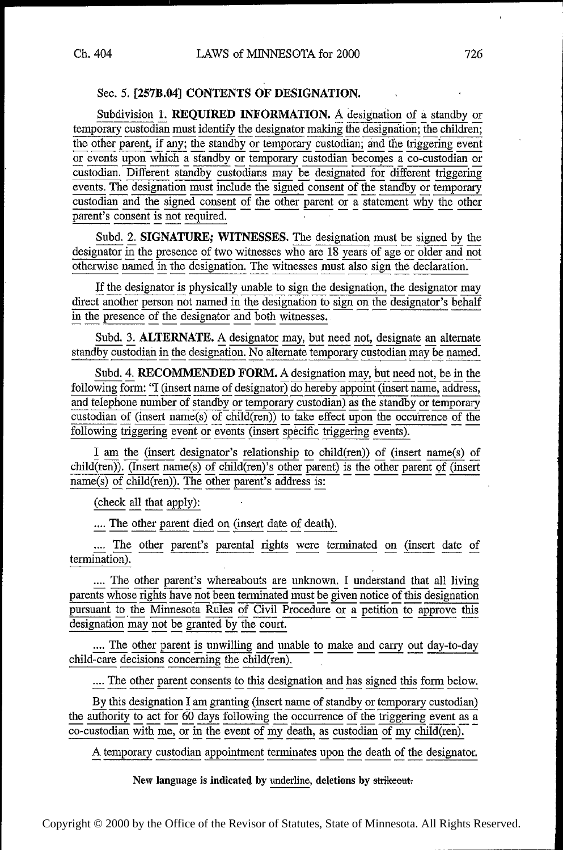# Sec. 5. [257B.04] CONTENTS OF DESIGNATION.

Subdivision 1. REQUIRED INFORMATION. A designation of a standby or temporary custodian must identify the designator making the designation; the children; the other parent, if any; the standby or temporary custodian; and the triggering event or events upon which a standby or temporary custodian becomes a co-custodian or custodian. Different standby custodians may be designated for different triggering events. The designation must include the signed consent of the standby or temporary custodian and the signed consent of the other parent or a statement why the other parent's consent is not required.

Subd. 2. SIGNATURE; WITNESSES. The designation must be signed by the designator in the presence of two witnesses who are  $18$  years of age or older and not otherwise named in the designation. The witnesses must also sign the declaration.

If the designator is physically unable to sign the designation, the designator may direct another person not named in the designation to sign on the designator's behalf in the presence of the designator and both witnesses.

Subd. 3. ALTERNATE. A designator may, but need not, designate an alternate standby custodian in the designation. No alternate temporary custodian may be named.

Subd. 4. RECOMMENDED FORM. A designation may, but need not, be in the following form: "I (insert name of designator) do hereby appoint (insert name, address, and telephone number of standby or temporary custodian) as the standby or temporary custodian of  $(insert name(s) \text{ of child(ren))}$  to take effect upon the occurrence of the following triggering event or events (insert specific triggering events).

I am the (insert designator's relationship to child(ren)) of (insert name(s) of  $child(ren)$ ). (Insert name(s) of child(ren)'s other parent) is the other parent of (insert  $name(s)$  of child(ren)). The other parent's address is:

(check all that apply):

.... The other parent died on (insert date of death).

.... The other parent's parental rights were terminated on (insert date of termination).

.... The other parent's whereabouts are unknown. I understand that all living parents whose rights have not been terminated must be given notice of this designation pursuant to the Minnesota Rules of Civil Procedure or a petition to approve this designation may not be granted by the court.

.... The other parent is unwilling and unable to make and carry out day-to-day  $child\overline{\text{-care decisions}}$  concerning the child $(\overline{\text{ren}})$ .

.... The other parent consents to this designation and has signed this form below.

By this designation I am granting (insert name of standby or temporary custodian) the authority to act for 60 days following the occurrence of the triggering event as a co-custodian with me, or in the event of my death, as custodian of my child(ren).

A temporary custodian appointment terminates upon the death of the designator.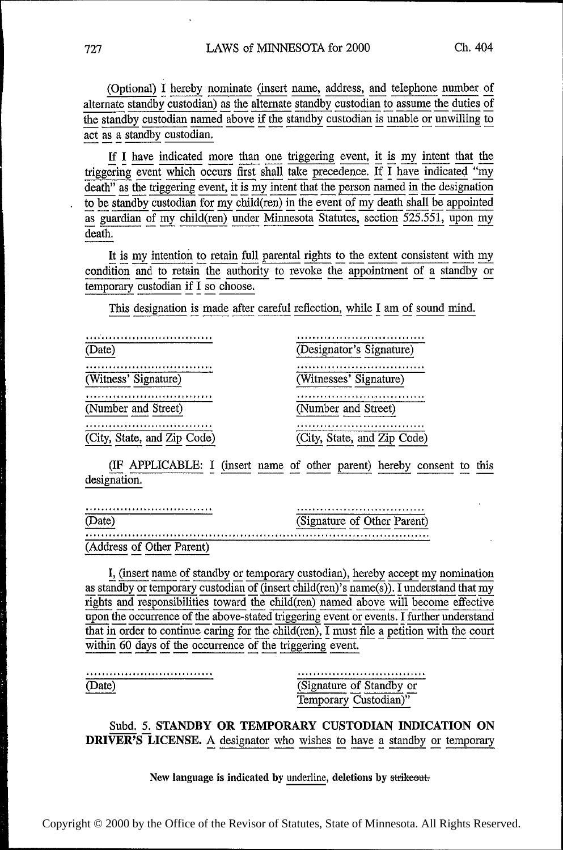(Optional) I hereby nominate (insert name, address, and telephone number of alternate standby custodian) as the alternate standby custodian to assume the duties of the standby custodian named above if the standby custodian is unable or unwilling to act as a standby custodian.

If I have indicated more than one triggering event, it is my intent that the triggering event which occurs first shall take precedence. If I have indicated "my death" as the triggering event, it is my intent that the person named in the designation to be standby custodian for my child(ren) in the event of my death shall be appointed as guardian of my child(ren) under Minnesota Statutes, section 525.551, upon my death.

It is my intention to retain full parental rights to the extent consistent with my condition and to retain the authority to revoke the appointment of a standby or temporary custodian if I so choose.

This designation is made after careful reflection, while I am of sound mind.

| (Date)                      | (Designator's Signature)    |
|-----------------------------|-----------------------------|
| .                           |                             |
| (Witness' Signature)        | (Witnesses' Signature)      |
|                             |                             |
| (Number and Street)         | (Number and Street)         |
|                             | .                           |
| (City, State, and Zip Code) | (City, State, and Zip Code) |

(IF APPLICABLE: I (insert name of other parent) hereby consent to this designation.

|                        | (Signature of Other Parent) |
|------------------------|-----------------------------|
|                        |                             |
| dress of Other Parent) |                             |

I, (insert name of standby or temporary custodian), hereby accept my nomination as standby or temporary custodian of (insert child(ren)'s name(s)). I understand that my rights and responsibilities toward the child(ren) named above will become effective upon the occurrence of the above-stated triggering event or events. I further understand that in order to continue caring for the child(ren), I must file a petition with the court within  $\overline{60}$  days of the occurrence of the triggering event.

(Date)

(Signature of Standby or Temporary Custodian)"

Subd. 5. STANDBY OR TEMPORARY CUSTODIAN INDICATION ON **DRIVER'S LICENSE.** A designator who wishes to have a standby or temporary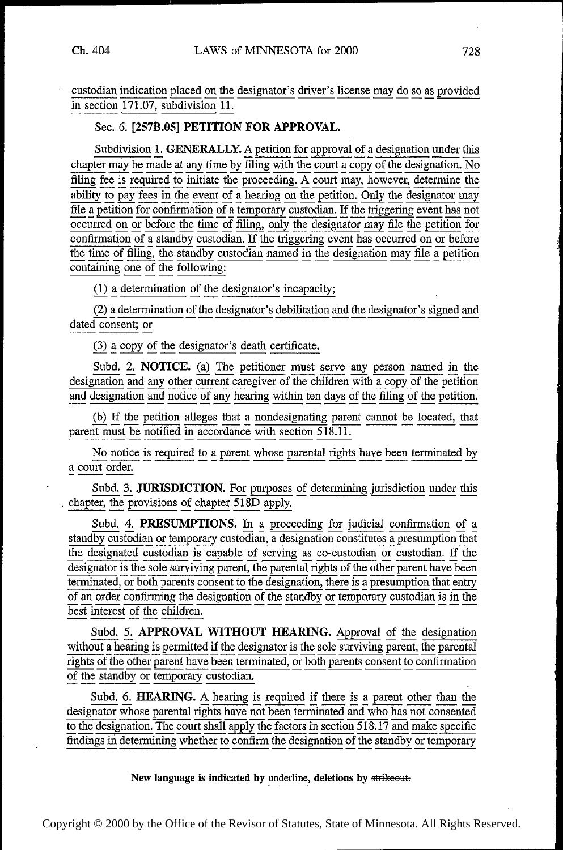~

~

~~ ~ ~~

~

~

~

~ ~ ~ ~ ~ ~ ~~

~ ~~

~

~ ~ ~

~

custodian indication placed on the designator's driver's license may do so as provided in section 171.07, subdivision ll.

# Sec. 6. [257B.05] PETITION FOR APPROVAL.

Subdivision 1. **GENERALLY.** A petition for approval of a designation under this chapter may be made at any time by filing with the court a copy of the designation. No<br>filing fee is required to initiate the proceeding. A court may, however, determine the ability to pay fees in the event of a hearing on the petition. Only the designator may file a petition for confirmation of a temporary custodian. If the triggering event has not occurred on or before the time of filing, only the designator may file the petition for confirmation of a standby custodian. If the triggering event has occurred on or before  $\frac{1}{\text{time of filing}}$ , the standby custodian named in the designation may file a petition containing one of the following:

 $(1)$  a determination of the designator's incapacity;

 $\frac{(2)}{2}$  a determination of the designator's debilitation and the designator's signed and dated consent; or

(3) a copy of the designator's death certificate.

Subd.  $\frac{2}{2}$ . **NOTICE.** (a) The petitioner must serve any person named in the designation and any other current caregiver of the children with a copy of the petition designation and any other current caregiver of the children with a copy of the petition<br>and designation and notice of any hearing within ten days of the filing of the petition. and designation and notice of any hearing within ten days of the filing of the petition.

(b) If the petition alleges that a nondesignating parent cannot be located, that parent must be notified in accordance with section  $518.11$ .

No notice is required to a parent whose parental rights have been terminated by a court order.

Subd. 3. JURISDICTION. For purposes of determining jurisdiction under this chapter, the provisions of chapter 518D apply.

Subd. 4. PRESUMPTIONS. In a proceeding for judicial confirmation of <sup>a</sup> standby custodian or temporary custodian, a designation constitutes a presumption that the designated custodian is capable of serving as co-custodian or custodian. If the designator is the sole surviving parent, the parental rights of the other parent have been terminated, or both parents consent to the designation, there is a presumption that entry of an order confirming the designation of the standby or temporary custodian is in the best interest of the children.

Subd. 5. APPROVAL WITHOUT HEARING. Approval of the designation without a hearing is permitted if the designator is the sole surviving parent, the parental rights of the other parent have been terminated, or both parents consent to confirmation of the standby or temporary custodian.

Subd. 6. HEARING. A hearing is required if there is a parent other than the designator whose parental rights have not been terminated and who has not consented to the designation. The court shall apply the factors in section  $518.17$  and make specific findings in determining whether to confirm the designation of the standby or temporary

New language is indicated by underline, deletions by strikeout.

Copyright © 2000 by the Office of the Revisor of Statutes, State of Minnesota. All Rights Reserved.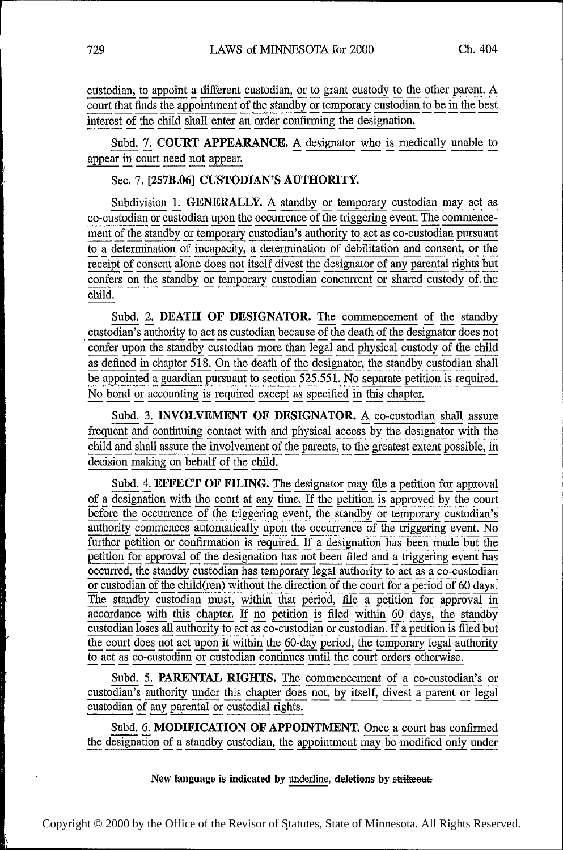custodian, to appoint a different custodian, or to grant custody to the other parent. A court that finds the appointment of the standby or temporary custodian to be in the best interest of the child shall enter an order confirming the designation.

Subd. 7. COURT APPEARANCE. A designator who is medically unable to appear in court need not appear.

Sec. 7. [257B.06] CUSTODIAN'S AUTHORITY.

Subdivision 1. GENERALLY. A standby or temporary custodian may act as co-custodian or custodian upon the occurrence of the triggering event. The commence-<br>ment of the standby or temporary quotedian's subbority to set as a ment of the standby or temporary custodian's authority to act as co-custodian pursuant to a determination of incapacity, a determination of debilitation and consent, or the receipt of consent alone does not itself divest the designator of any parental rights but confers on the standby or temporary custodian concurrent or shared custody of the child.

Subd. 2. DEATH OF DESIGNATOR. The commencement of the standby custodian's authority to act as custodian because of the death of the designator does not ' confer upon the standby custodian more than legal and physical custody of the child as defined in chapter 518. On the death of the designator, the standby custodian shall No bond or accounting is required except as specified in this chapter. be appointed a guardian pursuant to section 525.551. No separate petition is required.

Subd. 3. INVOLVEMENT OF DESIGNATOR. A co-custodian shall assure frequent and continuing contact with and physical access by the designator with the child and shall assure the involvement of the parents, to the greatest extent possible, in decision making on behalf of the child.

Subd. 4. **EFFECT OF FILING.** The designator may file a petition for approval of a designation with the court at any time. If the petition is approved by the court before the occurrence of the triggering event, the standby or temporary custodian's authority commences automatically upon the occurrence of the triggering event. No<br>further petition or confirmation is required. If a designation has been made but the petition for approval of the designation has not been filed and a triggering event has occurred, the standby custodian has temporary legal authority to act as a co-custodian or custodian of the child(ren) without the direction of the court for a period of 60 days. The standby custodian must, within that period, file a petition for approval in accordance with this chapter. If no petition is filed within 60 days, the standby  $\overline{\text{custodian loss}}$  all authority to act as  $\overline{\text{co-custodian}}$  or  $\overline{\text{custodian}}$ . If a petition is filed but the court does not act upon it within the 60-day period, the temporary legal authority to act as co-custodian or custodian continues until the court orders otherwise.

Subd. 5. PARENTAL RIGHTS. The commencement of a co-custodian's or custodian's authority under this chapter does not, by itself, divest a parent or legal custodian of any parental or custodial rights.

Subd. 6. MODIFICATION OF APPOINTMENT. Once a court has confirmed the designation of a standby custodian, the appointment may be modified only under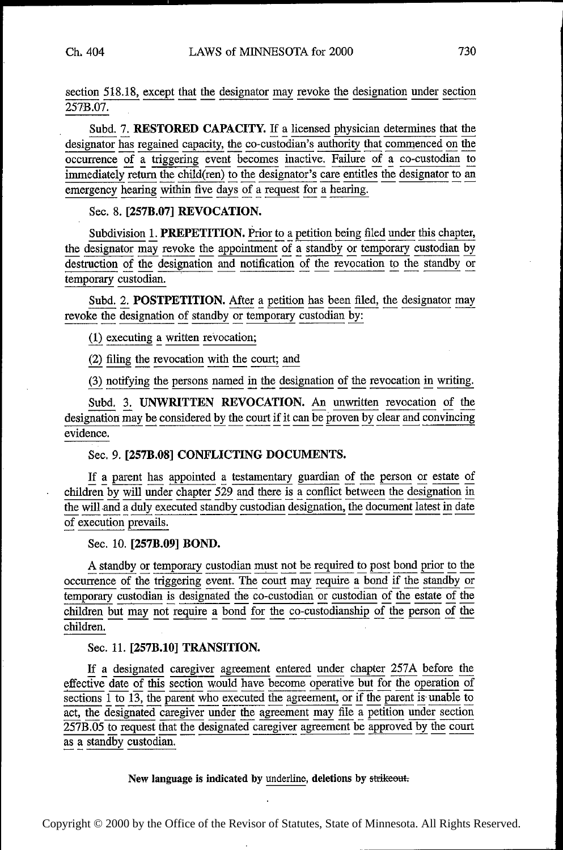~~~

~ ~ . ~~

⋅

~~~

⋅

~~

∎.

~~~

~  $\mathbf{r}$ 

~~~~

~  $\mathbf{r}$ 

~~~

Ⅰ.

~~~

 $\mathbf{r}$ ~~

 $\mathbf{I}$ 

section 518.18, except that the designator may revoke the designation under section 257B.07.

Subd. 7. RESTORED CAPACITY. If a licensed physician determines that the<br>designator has regained capacity, the co-custodian's authority that commenced on the<br>occurrence of a triggering event becomes inactive. Failure of a c immediately return the child(ren) to the designator's care entitles the designator to an emergency hearing within five days of a request for a hearing.

# Sec. 8. [257B.07] REVOCATION.

Subdivision 1. PREPETITION. Prior to a petition being filed under this chapter, the designator may revoke the appointment of a standby or temporary custodian by destruction of the designation and notification of the revocation to the standby or temporary custodian.

Subd. 2. POSTPETITION. After a petition has been filed, the designator may revoke the designation of standby or temporary custodian by:

(1) executing a written revocation;

(2) filing the revocation with the court; and

(3) notifying the persons named in the designation of the revocation in writing.

Subd. 3. UNWRITTEN REVOCATION. An unwritten revocation of the designation may be considered by the court if it can be proven by clear and convincing evidence.

## Sec. 9. [257B.08] CONFLICTING DOCUMENTS.

If a parent has appointed a testamentary guardian of the person or estate of children by will under chapter  $529$  and there is a conflict between the designation in the will and a duly executed standby custodian designation, the document latest in date of execution prevails.

#### Sec. 10. [257B.09] BOND.

A standby or temporary custodian must not be required to post bond prior to the occurrence of the triggering event. The court may require a bond if the standby or temporary custodian is designated the co-custodian or custodian of the estate of the children but may not require a bond for the co-custodianship of the person of the children.

## Sec. 11. [257B.10] TRANSITION.

If a designated caregiver agreement entered under chapter 257A before the effective date of this section would have become operative but for the operation of  $\frac{1}{\sqrt{15}}$  is  $\frac{1}{\sqrt{15}}$  the parent who executed the agreement, or if the parent is unable to act, the designated caregiver under the agreement may file a petition under section  $257B.05$  to request that the designated caregiver agreement be approved by the court as a standby custodian.

## New language is indicated by underline, deletions by strikeout.

Copyright © 2000 by the Office of the Revisor of Statutes, State of Minnesota. All Rights Reserved.